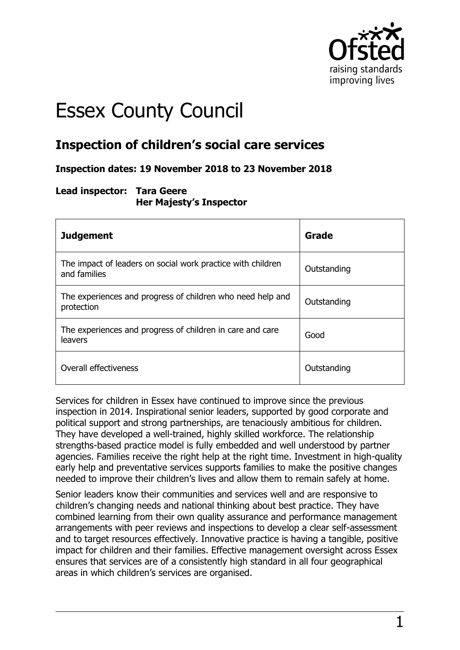

# Essex County Council

## **Inspection of children's social care services**

#### **Inspection dates: 19 November 2018 to 23 November 2018**

#### **Lead inspector: Tara Geere Her Majesty's Inspector**

| <b>Judgement</b>                                                            | Grade       |
|-----------------------------------------------------------------------------|-------------|
| The impact of leaders on social work practice with children<br>and families | Outstanding |
| The experiences and progress of children who need help and<br>protection    | Outstanding |
| The experiences and progress of children in care and care<br><b>leavers</b> | Good        |
| Overall effectiveness                                                       | Outstanding |

Services for children in Essex have continued to improve since the previous inspection in 2014. Inspirational senior leaders, supported by good corporate and political support and strong partnerships, are tenaciously ambitious for children. They have developed a well-trained, highly skilled workforce. The relationship strengths-based practice model is fully embedded and well understood by partner agencies. Families receive the right help at the right time. Investment in high-quality early help and preventative services supports families to make the positive changes needed to improve their children's lives and allow them to remain safely at home.

Senior leaders know their communities and services well and are responsive to children's changing needs and national thinking about best practice. They have combined learning from their own quality assurance and performance management arrangements with peer reviews and inspections to develop a clear self-assessment and to target resources effectively. Innovative practice is having a tangible, positive impact for children and their families. Effective management oversight across Essex ensures that services are of a consistently high standard in all four geographical areas in which children's services are organised.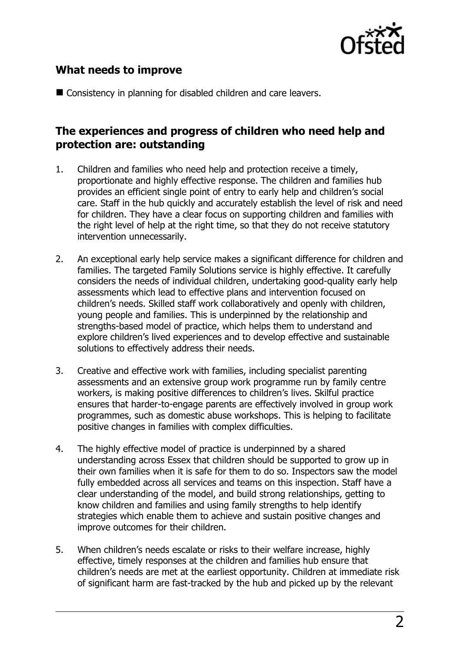

## **What needs to improve**

■ Consistency in planning for disabled children and care leavers.

## **The experiences and progress of children who need help and protection are: outstanding**

- 1. Children and families who need help and protection receive a timely, proportionate and highly effective response. The children and families hub provides an efficient single point of entry to early help and children's social care. Staff in the hub quickly and accurately establish the level of risk and need for children. They have a clear focus on supporting children and families with the right level of help at the right time, so that they do not receive statutory intervention unnecessarily.
- 2. An exceptional early help service makes a significant difference for children and families. The targeted Family Solutions service is highly effective. It carefully considers the needs of individual children, undertaking good-quality early help assessments which lead to effective plans and intervention focused on children's needs. Skilled staff work collaboratively and openly with children, young people and families. This is underpinned by the relationship and strengths-based model of practice, which helps them to understand and explore children's lived experiences and to develop effective and sustainable solutions to effectively address their needs.
- 3. Creative and effective work with families, including specialist parenting assessments and an extensive group work programme run by family centre workers, is making positive differences to children's lives. Skilful practice ensures that harder-to-engage parents are effectively involved in group work programmes, such as domestic abuse workshops. This is helping to facilitate positive changes in families with complex difficulties.
- 4. The highly effective model of practice is underpinned by a shared understanding across Essex that children should be supported to grow up in their own families when it is safe for them to do so. Inspectors saw the model fully embedded across all services and teams on this inspection. Staff have a clear understanding of the model, and build strong relationships, getting to know children and families and using family strengths to help identify strategies which enable them to achieve and sustain positive changes and improve outcomes for their children.
- 5. When children's needs escalate or risks to their welfare increase, highly effective, timely responses at the children and families hub ensure that children's needs are met at the earliest opportunity. Children at immediate risk of significant harm are fast-tracked by the hub and picked up by the relevant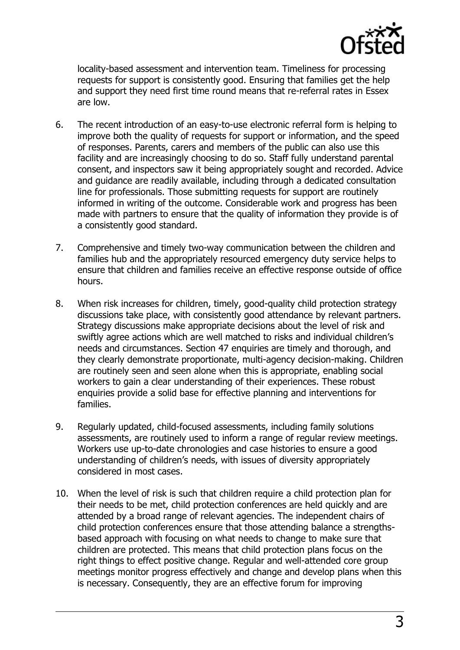

locality-based assessment and intervention team. Timeliness for processing requests for support is consistently good. Ensuring that families get the help and support they need first time round means that re-referral rates in Essex are low.

- 6. The recent introduction of an easy-to-use electronic referral form is helping to improve both the quality of requests for support or information, and the speed of responses. Parents, carers and members of the public can also use this facility and are increasingly choosing to do so. Staff fully understand parental consent, and inspectors saw it being appropriately sought and recorded. Advice and guidance are readily available, including through a dedicated consultation line for professionals. Those submitting requests for support are routinely informed in writing of the outcome. Considerable work and progress has been made with partners to ensure that the quality of information they provide is of a consistently good standard.
- 7. Comprehensive and timely two-way communication between the children and families hub and the appropriately resourced emergency duty service helps to ensure that children and families receive an effective response outside of office hours.
- 8. When risk increases for children, timely, good-quality child protection strategy discussions take place, with consistently good attendance by relevant partners. Strategy discussions make appropriate decisions about the level of risk and swiftly agree actions which are well matched to risks and individual children's needs and circumstances. Section 47 enquiries are timely and thorough, and they clearly demonstrate proportionate, multi-agency decision-making. Children are routinely seen and seen alone when this is appropriate, enabling social workers to gain a clear understanding of their experiences. These robust enquiries provide a solid base for effective planning and interventions for families.
- 9. Regularly updated, child-focused assessments, including family solutions assessments, are routinely used to inform a range of regular review meetings. Workers use up-to-date chronologies and case histories to ensure a good understanding of children's needs, with issues of diversity appropriately considered in most cases.
- 10. When the level of risk is such that children require a child protection plan for their needs to be met, child protection conferences are held quickly and are attended by a broad range of relevant agencies. The independent chairs of child protection conferences ensure that those attending balance a strengthsbased approach with focusing on what needs to change to make sure that children are protected. This means that child protection plans focus on the right things to effect positive change. Regular and well-attended core group meetings monitor progress effectively and change and develop plans when this is necessary. Consequently, they are an effective forum for improving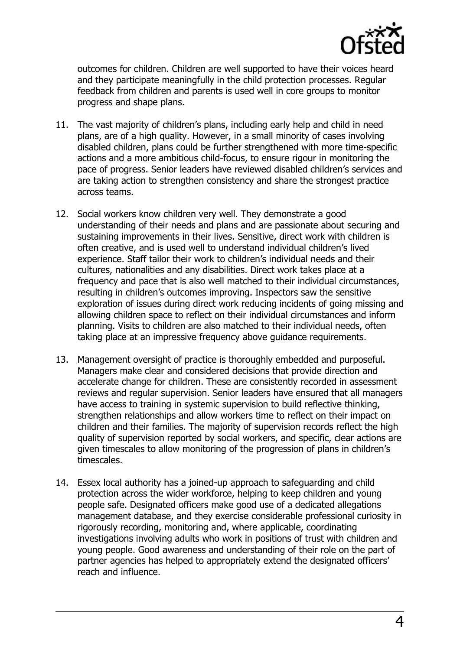

outcomes for children. Children are well supported to have their voices heard and they participate meaningfully in the child protection processes. Regular feedback from children and parents is used well in core groups to monitor progress and shape plans.

- 11. The vast majority of children's plans, including early help and child in need plans, are of a high quality. However, in a small minority of cases involving disabled children, plans could be further strengthened with more time-specific actions and a more ambitious child-focus, to ensure rigour in monitoring the pace of progress. Senior leaders have reviewed disabled children's services and are taking action to strengthen consistency and share the strongest practice across teams.
- 12. Social workers know children very well. They demonstrate a good understanding of their needs and plans and are passionate about securing and sustaining improvements in their lives. Sensitive, direct work with children is often creative, and is used well to understand individual children's lived experience. Staff tailor their work to children's individual needs and their cultures, nationalities and any disabilities. Direct work takes place at a frequency and pace that is also well matched to their individual circumstances, resulting in children's outcomes improving. Inspectors saw the sensitive exploration of issues during direct work reducing incidents of going missing and allowing children space to reflect on their individual circumstances and inform planning. Visits to children are also matched to their individual needs, often taking place at an impressive frequency above quidance requirements.
- 13. Management oversight of practice is thoroughly embedded and purposeful. Managers make clear and considered decisions that provide direction and accelerate change for children. These are consistently recorded in assessment reviews and regular supervision. Senior leaders have ensured that all managers have access to training in systemic supervision to build reflective thinking, strengthen relationships and allow workers time to reflect on their impact on children and their families. The majority of supervision records reflect the high quality of supervision reported by social workers, and specific, clear actions are given timescales to allow monitoring of the progression of plans in children's timescales.
- 14. Essex local authority has a joined-up approach to safeguarding and child protection across the wider workforce, helping to keep children and young people safe. Designated officers make good use of a dedicated allegations management database, and they exercise considerable professional curiosity in rigorously recording, monitoring and, where applicable, coordinating investigations involving adults who work in positions of trust with children and young people. Good awareness and understanding of their role on the part of partner agencies has helped to appropriately extend the designated officers' reach and influence.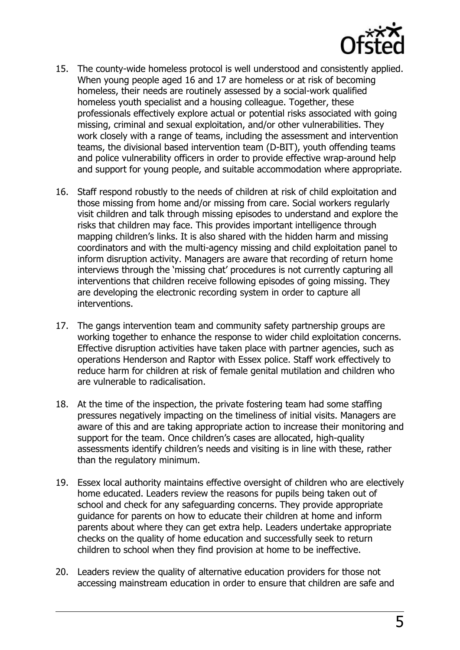

- 15. The county-wide homeless protocol is well understood and consistently applied. When young people aged 16 and 17 are homeless or at risk of becoming homeless, their needs are routinely assessed by a social-work qualified homeless youth specialist and a housing colleague. Together, these professionals effectively explore actual or potential risks associated with going missing, criminal and sexual exploitation, and/or other vulnerabilities. They work closely with a range of teams, including the assessment and intervention teams, the divisional based intervention team (D-BIT), youth offending teams and police vulnerability officers in order to provide effective wrap-around help and support for young people, and suitable accommodation where appropriate.
- 16. Staff respond robustly to the needs of children at risk of child exploitation and those missing from home and/or missing from care. Social workers regularly visit children and talk through missing episodes to understand and explore the risks that children may face. This provides important intelligence through mapping children's links. It is also shared with the hidden harm and missing coordinators and with the multi-agency missing and child exploitation panel to inform disruption activity. Managers are aware that recording of return home interviews through the 'missing chat' procedures is not currently capturing all interventions that children receive following episodes of going missing. They are developing the electronic recording system in order to capture all interventions.
- 17. The gangs intervention team and community safety partnership groups are working together to enhance the response to wider child exploitation concerns. Effective disruption activities have taken place with partner agencies, such as operations Henderson and Raptor with Essex police. Staff work effectively to reduce harm for children at risk of female genital mutilation and children who are vulnerable to radicalisation.
- 18. At the time of the inspection, the private fostering team had some staffing pressures negatively impacting on the timeliness of initial visits. Managers are aware of this and are taking appropriate action to increase their monitoring and support for the team. Once children's cases are allocated, high-quality assessments identify children's needs and visiting is in line with these, rather than the regulatory minimum.
- 19. Essex local authority maintains effective oversight of children who are electively home educated. Leaders review the reasons for pupils being taken out of school and check for any safeguarding concerns. They provide appropriate guidance for parents on how to educate their children at home and inform parents about where they can get extra help. Leaders undertake appropriate checks on the quality of home education and successfully seek to return children to school when they find provision at home to be ineffective.
- 20. Leaders review the quality of alternative education providers for those not accessing mainstream education in order to ensure that children are safe and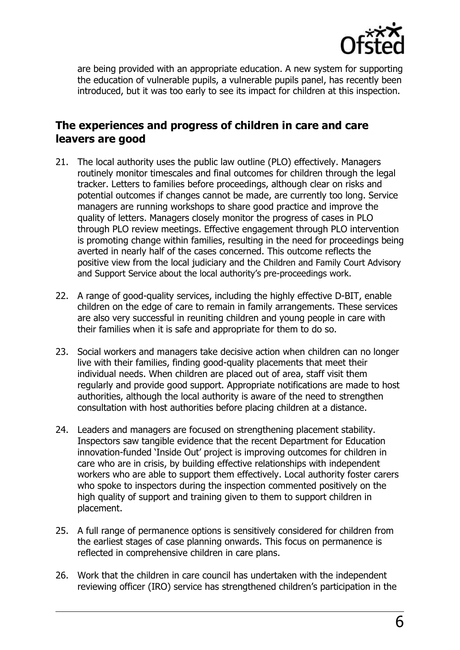

are being provided with an appropriate education. A new system for supporting the education of vulnerable pupils, a vulnerable pupils panel, has recently been introduced, but it was too early to see its impact for children at this inspection.

## **The experiences and progress of children in care and care leavers are good**

- 21. The local authority uses the public law outline (PLO) effectively. Managers routinely monitor timescales and final outcomes for children through the legal tracker. Letters to families before proceedings, although clear on risks and potential outcomes if changes cannot be made, are currently too long. Service managers are running workshops to share good practice and improve the quality of letters. Managers closely monitor the progress of cases in PLO through PLO review meetings. Effective engagement through PLO intervention is promoting change within families, resulting in the need for proceedings being averted in nearly half of the cases concerned. This outcome reflects the positive view from the local judiciary and the Children and Family Court Advisory and Support Service about the local authority's pre-proceedings work.
- 22. A range of good-quality services, including the highly effective D-BIT, enable children on the edge of care to remain in family arrangements. These services are also very successful in reuniting children and young people in care with their families when it is safe and appropriate for them to do so.
- 23. Social workers and managers take decisive action when children can no longer live with their families, finding good-quality placements that meet their individual needs. When children are placed out of area, staff visit them regularly and provide good support. Appropriate notifications are made to host authorities, although the local authority is aware of the need to strengthen consultation with host authorities before placing children at a distance.
- 24. Leaders and managers are focused on strengthening placement stability. Inspectors saw tangible evidence that the recent Department for Education innovation-funded 'Inside Out' project is improving outcomes for children in care who are in crisis, by building effective relationships with independent workers who are able to support them effectively. Local authority foster carers who spoke to inspectors during the inspection commented positively on the high quality of support and training given to them to support children in placement.
- 25. A full range of permanence options is sensitively considered for children from the earliest stages of case planning onwards. This focus on permanence is reflected in comprehensive children in care plans.
- 26. Work that the children in care council has undertaken with the independent reviewing officer (IRO) service has strengthened children's participation in the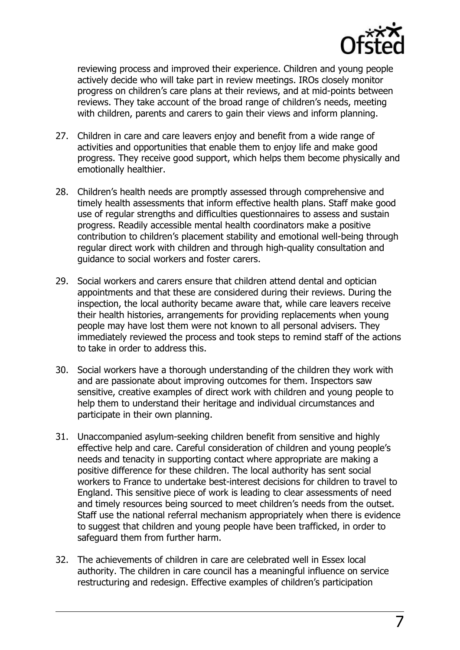

reviewing process and improved their experience. Children and young people actively decide who will take part in review meetings. IROs closely monitor progress on children's care plans at their reviews, and at mid-points between reviews. They take account of the broad range of children's needs, meeting with children, parents and carers to gain their views and inform planning.

- 27. Children in care and care leavers enjoy and benefit from a wide range of activities and opportunities that enable them to enjoy life and make good progress. They receive good support, which helps them become physically and emotionally healthier.
- 28. Children's health needs are promptly assessed through comprehensive and timely health assessments that inform effective health plans. Staff make good use of regular strengths and difficulties questionnaires to assess and sustain progress. Readily accessible mental health coordinators make a positive contribution to children's placement stability and emotional well-being through regular direct work with children and through high-quality consultation and guidance to social workers and foster carers.
- 29. Social workers and carers ensure that children attend dental and optician appointments and that these are considered during their reviews. During the inspection, the local authority became aware that, while care leavers receive their health histories, arrangements for providing replacements when young people may have lost them were not known to all personal advisers. They immediately reviewed the process and took steps to remind staff of the actions to take in order to address this.
- 30. Social workers have a thorough understanding of the children they work with and are passionate about improving outcomes for them. Inspectors saw sensitive, creative examples of direct work with children and young people to help them to understand their heritage and individual circumstances and participate in their own planning.
- 31. Unaccompanied asylum-seeking children benefit from sensitive and highly effective help and care. Careful consideration of children and young people's needs and tenacity in supporting contact where appropriate are making a positive difference for these children. The local authority has sent social workers to France to undertake best-interest decisions for children to travel to England. This sensitive piece of work is leading to clear assessments of need and timely resources being sourced to meet children's needs from the outset. Staff use the national referral mechanism appropriately when there is evidence to suggest that children and young people have been trafficked, in order to safeguard them from further harm.
- 32. The achievements of children in care are celebrated well in Essex local authority. The children in care council has a meaningful influence on service restructuring and redesign. Effective examples of children's participation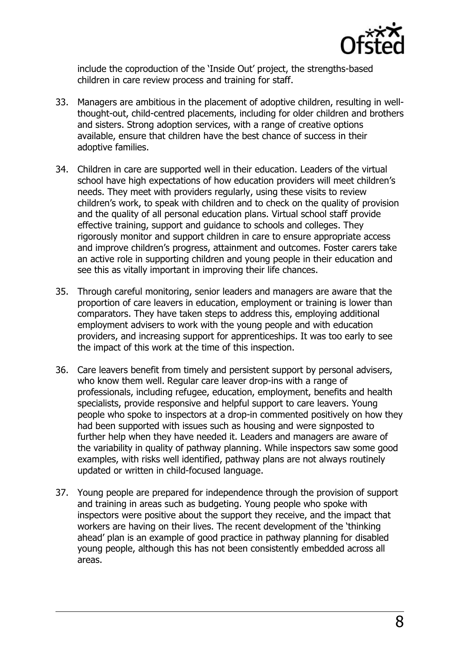

include the coproduction of the 'Inside Out' project, the strengths-based children in care review process and training for staff.

- 33. Managers are ambitious in the placement of adoptive children, resulting in wellthought-out, child-centred placements, including for older children and brothers and sisters. Strong adoption services, with a range of creative options available, ensure that children have the best chance of success in their adoptive families.
- 34. Children in care are supported well in their education. Leaders of the virtual school have high expectations of how education providers will meet children's needs. They meet with providers regularly, using these visits to review children's work, to speak with children and to check on the quality of provision and the quality of all personal education plans. Virtual school staff provide effective training, support and guidance to schools and colleges. They rigorously monitor and support children in care to ensure appropriate access and improve children's progress, attainment and outcomes. Foster carers take an active role in supporting children and young people in their education and see this as vitally important in improving their life chances.
- 35. Through careful monitoring, senior leaders and managers are aware that the proportion of care leavers in education, employment or training is lower than comparators. They have taken steps to address this, employing additional employment advisers to work with the young people and with education providers, and increasing support for apprenticeships. It was too early to see the impact of this work at the time of this inspection.
- 36. Care leavers benefit from timely and persistent support by personal advisers, who know them well. Regular care leaver drop-ins with a range of professionals, including refugee, education, employment, benefits and health specialists, provide responsive and helpful support to care leavers. Young people who spoke to inspectors at a drop-in commented positively on how they had been supported with issues such as housing and were signposted to further help when they have needed it. Leaders and managers are aware of the variability in quality of pathway planning. While inspectors saw some good examples, with risks well identified, pathway plans are not always routinely updated or written in child-focused language.
- 37. Young people are prepared for independence through the provision of support and training in areas such as budgeting. Young people who spoke with inspectors were positive about the support they receive, and the impact that workers are having on their lives. The recent development of the 'thinking ahead' plan is an example of good practice in pathway planning for disabled young people, although this has not been consistently embedded across all areas.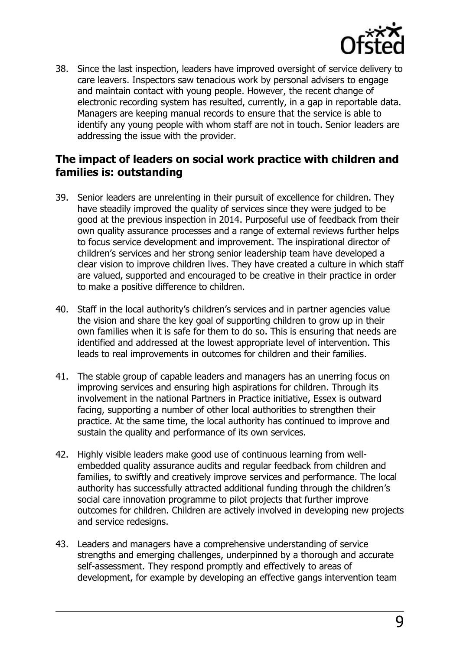

38. Since the last inspection, leaders have improved oversight of service delivery to care leavers. Inspectors saw tenacious work by personal advisers to engage and maintain contact with young people. However, the recent change of electronic recording system has resulted, currently, in a gap in reportable data. Managers are keeping manual records to ensure that the service is able to identify any young people with whom staff are not in touch. Senior leaders are addressing the issue with the provider.

## **The impact of leaders on social work practice with children and families is: outstanding**

- 39. Senior leaders are unrelenting in their pursuit of excellence for children. They have steadily improved the quality of services since they were judged to be good at the previous inspection in 2014. Purposeful use of feedback from their own quality assurance processes and a range of external reviews further helps to focus service development and improvement. The inspirational director of children's services and her strong senior leadership team have developed a clear vision to improve children lives. They have created a culture in which staff are valued, supported and encouraged to be creative in their practice in order to make a positive difference to children.
- 40. Staff in the local authority's children's services and in partner agencies value the vision and share the key goal of supporting children to grow up in their own families when it is safe for them to do so. This is ensuring that needs are identified and addressed at the lowest appropriate level of intervention. This leads to real improvements in outcomes for children and their families.
- 41. The stable group of capable leaders and managers has an unerring focus on improving services and ensuring high aspirations for children. Through its involvement in the national Partners in Practice initiative, Essex is outward facing, supporting a number of other local authorities to strengthen their practice. At the same time, the local authority has continued to improve and sustain the quality and performance of its own services.
- 42. Highly visible leaders make good use of continuous learning from wellembedded quality assurance audits and regular feedback from children and families, to swiftly and creatively improve services and performance. The local authority has successfully attracted additional funding through the children's social care innovation programme to pilot projects that further improve outcomes for children. Children are actively involved in developing new projects and service redesigns.
- 43. Leaders and managers have a comprehensive understanding of service strengths and emerging challenges, underpinned by a thorough and accurate self-assessment. They respond promptly and effectively to areas of development, for example by developing an effective gangs intervention team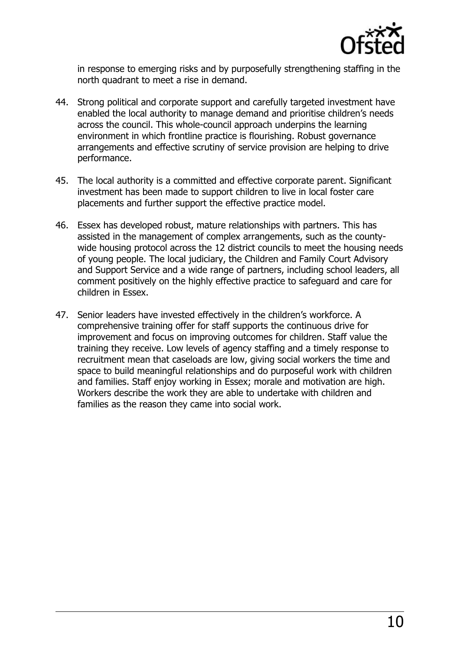

in response to emerging risks and by purposefully strengthening staffing in the north quadrant to meet a rise in demand.

- 44. Strong political and corporate support and carefully targeted investment have enabled the local authority to manage demand and prioritise children's needs across the council. This whole-council approach underpins the learning environment in which frontline practice is flourishing. Robust governance arrangements and effective scrutiny of service provision are helping to drive performance.
- 45. The local authority is a committed and effective corporate parent. Significant investment has been made to support children to live in local foster care placements and further support the effective practice model.
- 46. Essex has developed robust, mature relationships with partners. This has assisted in the management of complex arrangements, such as the countywide housing protocol across the 12 district councils to meet the housing needs of young people. The local judiciary, the Children and Family Court Advisory and Support Service and a wide range of partners, including school leaders, all comment positively on the highly effective practice to safeguard and care for children in Essex.
- 47. Senior leaders have invested effectively in the children's workforce. A comprehensive training offer for staff supports the continuous drive for improvement and focus on improving outcomes for children. Staff value the training they receive. Low levels of agency staffing and a timely response to recruitment mean that caseloads are low, giving social workers the time and space to build meaningful relationships and do purposeful work with children and families. Staff enjoy working in Essex; morale and motivation are high. Workers describe the work they are able to undertake with children and families as the reason they came into social work.